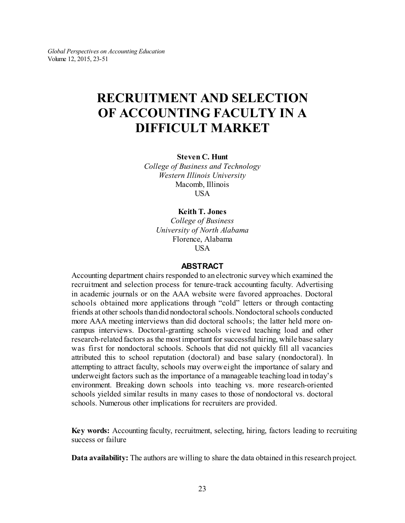# **RECRUITMENT AND SELECTION OF ACCOUNTING FACULTY IN A DIFFICULT MARKET**

**Steven C. Hunt**

*College of Business and Technology Western Illinois University* Macomb, Illinois USA

# **Keith T. Jones**

*College of Business University of North Alabama* Florence, Alabama **USA** 

## **ABSTRACT**

Accounting department chairs responded to an electronic survey which examined the recruitment and selection process for tenure-track accounting faculty. Advertising in academic journals or on the AAA website were favored approaches. Doctoral schools obtained more applications through "cold" letters or through contacting friends at other schools than did nondoctoral schools. Nondoctoral schools conducted more AAA meeting interviews than did doctoral schools; the latter held more oncampus interviews. Doctoral-granting schools viewed teaching load and other research-related factors as the most important for successful hiring, while base salary was first for nondoctoral schools. Schools that did not quickly fill all vacancies attributed this to school reputation (doctoral) and base salary (nondoctoral). In attempting to attract faculty, schools may overweight the importance of salary and underweight factors such as the importance of a manageable teaching load in today's environment. Breaking down schools into teaching vs. more research-oriented schools yielded similar results in many cases to those of nondoctoral vs. doctoral schools. Numerous other implications for recruiters are provided.

**Key words:** Accounting faculty, recruitment, selecting, hiring, factors leading to recruiting success or failure

**Data availability:** The authors are willing to share the data obtained in this research project.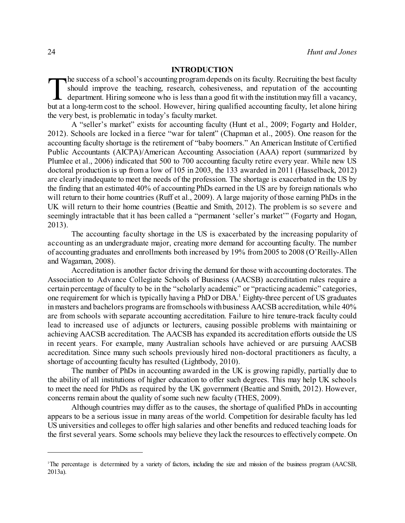## **INTRODUCTION**

The success of a school's accounting program depends on its faculty. Recruiting the best faculty should improve the teaching, research, cohesiveness, and reputation of the accounting department. Hiring someone who is less he success of a school's accounting programdepends on its faculty. Recruiting the best faculty should improve the teaching, research, cohesiveness, and reputation of the accounting department. Hiring someone who is less than a good fit with the institution may fill a vacancy, the very best, is problematic in today's faculty market.

A "seller's market" exists for accounting faculty (Hunt et al., 2009; Fogarty and Holder, 2012). Schools are locked in a fierce "war for talent" (Chapman et al., 2005). One reason for the accounting faculty shortage is the retirement of "baby boomers." An American Institute of Certified Public Accountants (AICPA)/American Accounting Association (AAA) report (summarized by Plumlee et al., 2006) indicated that 500 to 700 accounting faculty retire every year. While new US doctoral production is up from a low of 105 in 2003, the 133 awarded in 2011 (Hasselback, 2012) are clearly inadequate to meet the needs of the profession. The shortage is exacerbated in the US by the finding that an estimated 40% of accounting PhDs earned in the US are by foreign nationals who will return to their home countries (Ruff et al., 2009). A large majority of those earning PhDs in the UK will return to their home countries (Beattie and Smith, 2012). The problem is so severe and seemingly intractable that it has been called a "permanent 'seller's market'" (Fogarty and Hogan, 2013).

The accounting faculty shortage in the US is exacerbated by the increasing popularity of accounting as an undergraduate major, creating more demand for accounting faculty. The number of accounting graduates and enrollments both increased by 19% from2005 to 2008 (O'Reilly-Allen and Wagaman, 2008).

Accreditation is another factor driving the demand for those with accounting doctorates. The Association to Advance Collegiate Schools of Business (AACSB) accreditation rules require a certain percentage of faculty to be in the "scholarly academic" or "practicing academic" categories, one requirement for which is typically having a PhD or DBA. <sup>1</sup> Eighty-three percent of US graduates in masters and bachelors programs are fromschools with business AACSB accreditation, while 40% are from schools with separate accounting accreditation. Failure to hire tenure-track faculty could lead to increased use of adjuncts or lecturers, causing possible problems with maintaining or achieving AACSB accreditation. The AACSB has expanded its accreditation efforts outside the US in recent years. For example, many Australian schools have achieved or are pursuing AACSB accreditation. Since many such schools previously hired non-doctoral practitioners as faculty, a shortage of accounting faculty has resulted (Lightbody, 2010).

The number of PhDs in accounting awarded in the UK is growing rapidly, partially due to the ability of all institutions of higher education to offer such degrees. This may help UK schools to meet the need for PhDs as required by the UK government (Beattie and Smith, 2012). However, concerns remain about the quality of some such new faculty (THES, 2009).

Although countries may differ as to the causes, the shortage of qualified PhDs in accounting appears to be a serious issue in many areas of the world. Competition for desirable faculty has led US universities and colleges to offer high salaries and other benefits and reduced teaching loads for the first several years. Some schools may believe they lack the resources to effectively compete. On

<sup>1</sup>The percentage is determined by a variety of factors, including the size and mission of the business program (AACSB, 2013a).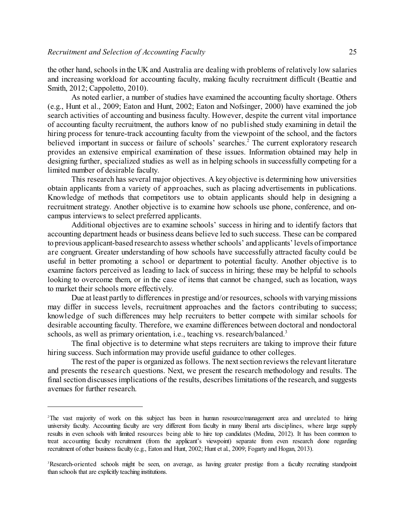the other hand, schools in the UK and Australia are dealing with problems of relatively low salaries and increasing workload for accounting faculty, making faculty recruitment difficult (Beattie and Smith, 2012; Cappoletto, 2010).

As noted earlier, a number of studies have examined the accounting faculty shortage. Others (e.g., Hunt et al., 2009; Eaton and Hunt, 2002; Eaton and Nofsinger, 2000) have examined the job search activities of accounting and business faculty. However, despite the current vital importance of accounting faculty recruitment, the authors know of no published study examining in detail the hiring process for tenure-track accounting faculty from the viewpoint of the school, and the factors believed important in success or failure of schools' searches.<sup>2</sup> The current exploratory research provides an extensive empirical examination of these issues. Information obtained may help in designing further, specialized studies as well as in helping schools in successfully competing for a limited number of desirable faculty.

This research has several major objectives. A key objective is determining how universities obtain applicants from a variety of approaches, such as placing advertisements in publications. Knowledge of methods that competitors use to obtain applicants should help in designing a recruitment strategy. Another objective is to examine how schools use phone, conference, and oncampus interviews to select preferred applicants.

Additional objectives are to examine schools' success in hiring and to identify factors that accounting department heads or business deans believe led to such success. These can be compared to previous applicant-based researchto assess whether schools' and applicants' levels ofimportance are congruent. Greater understanding of how schools have successfully attracted faculty could be useful in better promoting a school or department to potential faculty. Another objective is to examine factors perceived as leading to lack of success in hiring; these may be helpful to schools looking to overcome them, or in the case of items that cannot be changed, such as location, ways to market their schools more effectively.

Due at least partly to differences in prestige and/or resources, schools with varying missions may differ in success levels, recruitment approaches and the factors contributing to success; knowledge of such differences may help recruiters to better compete with similar schools for desirable accounting faculty. Therefore, we examine differences between doctoral and nondoctoral schools, as well as primary orientation, i.e., teaching vs. research/balanced.<sup>3</sup>

The final objective is to determine what steps recruiters are taking to improve their future hiring success. Such information may provide useful guidance to other colleges.

The rest of the paper is organized as follows. The next section reviews the relevant literature and presents the research questions. Next, we present the research methodology and results. The final section discusses implications of the results, describes limitations of the research, and suggests avenues for further research.

<sup>2</sup>The vast majority of work on this subject has been in human resource/management area and unrelated to hiring university faculty. Accounting faculty are very different from faculty in many liberal arts disciplines, where large supply results in even schools with limited resources being able to hire top candidates (Medina, 2012). It has been common to treat accounting faculty recruitment (from the applicant's viewpoint) separate from even research done regarding recruitment of other business faculty (e.g., Eaton and Hunt, 2002; Hunt et al., 2009; Fogarty and Hogan, 2013).

<sup>&</sup>lt;sup>3</sup>Research-oriented schools might be seen, on average, as having greater prestige from a faculty recruiting standpoint than schools that are explicitly teaching institutions.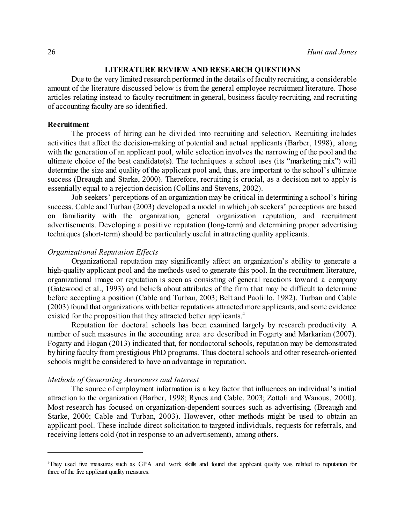#### **LITERATURE REVIEW AND RESEARCH QUESTIONS**

Due to the very limited research performed in the details of faculty recruiting, a considerable amount of the literature discussed below is from the general employee recruitment literature. Those articles relating instead to faculty recruitment in general, business faculty recruiting, and recruiting of accounting faculty are so identified.

## **Recruitment**

The process of hiring can be divided into recruiting and selection. Recruiting includes activities that affect the decision-making of potential and actual applicants (Barber, 1998), along with the generation of an applicant pool, while selection involves the narrowing of the pool and the ultimate choice of the best candidate(s). The techniques a school uses (its "marketing mix") will determine the size and quality of the applicant pool and, thus, are important to the school's ultimate success (Breaugh and Starke, 2000). Therefore, recruiting is crucial, as a decision not to apply is essentially equal to a rejection decision (Collins and Stevens, 2002).

Job seekers' perceptions of an organization may be critical in determining a school's hiring success. Cable and Turban (2003) developed a model in which job seekers' perceptions are based on familiarity with the organization, general organization reputation, and recruitment advertisements. Developing a positive reputation (long-term) and determining proper advertising techniques (short-term) should be particularly useful in attracting quality applicants.

## *Organizational Reputation Effects*

Organizational reputation may significantly affect an organization's ability to generate a high-quality applicant pool and the methods used to generate this pool. In the recruitment literature, organizational image or reputation is seen as consisting of general reactions toward a company (Gatewood et al., 1993) and beliefs about attributes of the firm that may be difficult to determine before accepting a position (Cable and Turban, 2003; Belt and Paolillo, 1982). Turban and Cable (2003) found that organizations with better reputations attracted more applicants, and some evidence existed for the proposition that they attracted better applicants.<sup>4</sup>

Reputation for doctoral schools has been examined largely by research productivity. A number of such measures in the accounting area are described in Fogarty and Markarian (2007). Fogarty and Hogan (2013) indicated that, for nondoctoral schools, reputation may be demonstrated by hiring faculty from prestigious PhD programs. Thus doctoral schools and other research-oriented schools might be considered to have an advantage in reputation.

#### *Methods of Generating Awareness and Interest*

The source of employment information is a key factor that influences an individual's initial attraction to the organization (Barber, 1998; Rynes and Cable, 2003; Zottoli and Wanous, 2000). Most research has focused on organization-dependent sources such as advertising. (Breaugh and Starke, 2000; Cable and Turban, 2003). However, other methods might be used to obtain an applicant pool. These include direct solicitation to targeted individuals, requests for referrals, and receiving letters cold (not in response to an advertisement), among others.

<sup>4</sup>They used five measures such as GPA and work skills and found that applicant quality was related to reputation for three of the five applicant quality measures.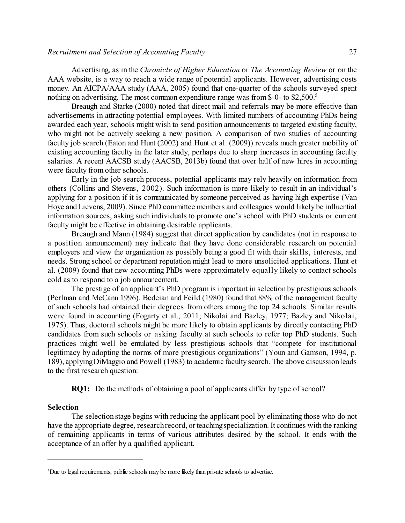## *Recruitment and Selection of Accounting Faculty* 27

Advertising, as in the *Chronicle of Higher Education* or *The Accounting Review* or on the AAA website, is a way to reach a wide range of potential applicants. However, advertising costs money. An AICPA/AAA study (AAA, 2005) found that one-quarter of the schools surveyed spent nothing on advertising. The most common expenditure range was from \$-0- to \$2,500.<sup>5</sup>

Breaugh and Starke (2000) noted that direct mail and referrals may be more effective than advertisements in attracting potential employees. With limited numbers of accounting PhDs being awarded each year, schools might wish to send position announcements to targeted existing faculty, who might not be actively seeking a new position. A comparison of two studies of accounting faculty job search (Eaton and Hunt (2002) and Hunt et al. (2009)) reveals much greater mobility of existing accounting faculty in the later study, perhaps due to sharp increases in accounting faculty salaries. A recent AACSB study (AACSB, 2013b) found that over half of new hires in accounting were faculty from other schools.

Early in the job search process, potential applicants may rely heavily on information from others (Collins and Stevens, 2002). Such information is more likely to result in an individual's applying for a position if it is communicated by someone perceived as having high expertise (Van Hoye and Lievens, 2009). Since PhD committee members and colleagues would likely be influential information sources, asking such individuals to promote one's school with PhD students or current faculty might be effective in obtaining desirable applicants.

Breaugh and Mann (1984) suggest that direct application by candidates (not in response to a position announcement) may indicate that they have done considerable research on potential employers and view the organization as possibly being a good fit with their skills, interests, and needs. Strong school or department reputation might lead to more unsolicited applications. Hunt et al. (2009) found that new accounting PhDs were approximately equally likely to contact schools cold as to respond to a job announcement.

The prestige of an applicant's PhD program is important in selection by prestigious schools (Perlman and McCann 1996). Bedeian and Feild (1980) found that 88% of the management faculty of such schools had obtained their degrees from others among the top 24 schools. Similar results were found in accounting (Fogarty et al., 2011; Nikolai and Bazley, 1977; Bazley and Nikolai, 1975). Thus, doctoral schools might be more likely to obtain applicants by directly contacting PhD candidates from such schools or asking faculty at such schools to refer top PhD students. Such practices might well be emulated by less prestigious schools that "compete for institutional legitimacy by adopting the norms of more prestigious organizations" (Youn and Gamson, 1994, p. 189), applyingDiMaggio and Powell (1983) to academic faculty search. The above discussionleads to the first research question:

**RQ1:** Do the methods of obtaining a pool of applicants differ by type of school?

#### **Selection**

The selection stage begins with reducing the applicant pool by eliminating those who do not have the appropriate degree, researchrecord, or teachingspecialization. It continues with the ranking of remaining applicants in terms of various attributes desired by the school. It ends with the acceptance of an offer by a qualified applicant.

<sup>&</sup>lt;sup>5</sup>Due to legal requirements, public schools may be more likely than private schools to advertise.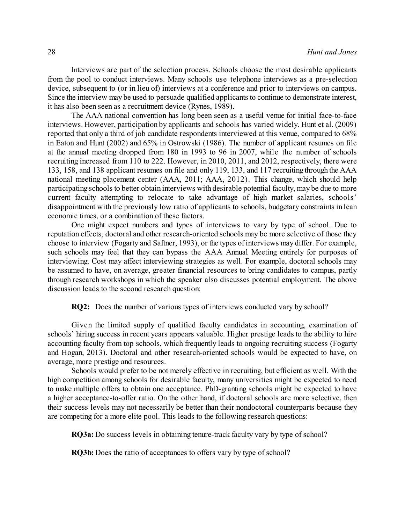Interviews are part of the selection process. Schools choose the most desirable applicants from the pool to conduct interviews. Many schools use telephone interviews as a pre-selection device, subsequent to (or in lieu of) interviews at a conference and prior to interviews on campus. Since the interview may be used to persuade qualified applicants to continue to demonstrate interest, it has also been seen as a recruitment device (Rynes, 1989).

The AAA national convention has long been seen as a useful venue for initial face-to-face interviews. However, participation by applicants and schools has varied widely. Hunt et al. (2009) reported that only a third of job candidate respondents interviewed at this venue, compared to 68% in Eaton and Hunt (2002) and 65% in Ostrowski (1986). The number of applicant resumes on file at the annual meeting dropped from 180 in 1993 to 96 in 2007, while the number of schools recruiting increased from 110 to 222. However, in 2010, 2011, and 2012, respectively, there were 133, 158, and 138 applicant resumes on file and only 119, 133, and 117 recruiting through the AAA national meeting placement center (AAA, 2011; AAA, 2012). This change, which should help participating schools to better obtain interviews with desirable potential faculty, may be due to more current faculty attempting to relocate to take advantage of high market salaries, schools' disappointment with the previously low ratio of applicants to schools, budgetary constraints in lean economic times, or a combination of these factors.

One might expect numbers and types of interviews to vary by type of school. Due to reputation effects, doctoral and other research-oriented schools may be more selective of those they choose to interview (Fogarty and Saftner, 1993), or the types ofinterviews may differ. For example, such schools may feel that they can bypass the AAA Annual Meeting entirely for purposes of interviewing. Cost may affect interviewing strategies as well. For example, doctoral schools may be assumed to have, on average, greater financial resources to bring candidates to campus, partly through research workshops in which the speaker also discusses potential employment. The above discussion leads to the second research question:

**RQ2:** Does the number of various types of interviews conducted vary by school?

Given the limited supply of qualified faculty candidates in accounting, examination of schools' hiring success in recent years appears valuable. Higher prestige leads to the ability to hire accounting faculty from top schools, which frequently leads to ongoing recruiting success (Fogarty and Hogan, 2013). Doctoral and other research-oriented schools would be expected to have, on average, more prestige and resources.

Schools would prefer to be not merely effective in recruiting, but efficient as well. With the high competition among schools for desirable faculty, many universities might be expected to need to make multiple offers to obtain one acceptance. PhD-granting schools might be expected to have a higher acceptance-to-offer ratio. On the other hand, if doctoral schools are more selective, then their success levels may not necessarily be better than their nondoctoral counterparts because they are competing for a more elite pool. This leads to the following research questions:

**RQ3a:** Do success levels in obtaining tenure-track faculty vary by type of school?

**RQ3b:** Does the ratio of acceptances to offers vary by type of school?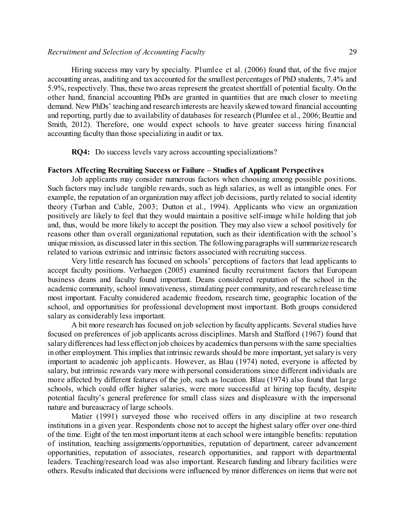## *Recruitment and Selection of Accounting Faculty* 29

Hiring success may vary by specialty. Plumlee et al. (2006) found that, of the five major accounting areas, auditing and tax accounted for the smallest percentages of PhD students, 7.4% and 5.9%, respectively. Thus, these two areas represent the greatest shortfall of potential faculty. On the other hand, financial accounting PhDs are granted in quantities that are much closer to meeting demand. New PhDs' teaching and research interests are heavily skewed toward financial accounting and reporting, partly due to availability of databases for research (Plumlee et al., 2006; Beattie and Smith, 2012). Therefore, one would expect schools to have greater success hiring financial accounting faculty than those specializing in audit or tax.

**RQ4:** Do success levels vary across accounting specializations?

## **Factors Affecting Recruiting Success or Failure – Studies of Applicant Perspectives**

Job applicants may consider numerous factors when choosing among possible positions. Such factors may include tangible rewards, such as high salaries, as well as intangible ones. For example, the reputation of an organization may affect job decisions, partly related to social identity theory (Turban and Cable, 2003; Dutton et al., 1994). Applicants who view an organization positively are likely to feel that they would maintain a positive self-image while holding that job and, thus, would be more likely to accept the position. They may also view a school positively for reasons other than overall organizational reputation, such as their identification with the school's unique mission, as discussed later in this section. The following paragraphs will summarize research related to various extrinsic and intrinsic factors associated with recruiting success.

Very little research has focused on schools' perceptions of factors that lead applicants to accept faculty positions. Verhaegen (2005) examined faculty recruitment factors that European business deans and faculty found important. Deans considered reputation of the school in the academic community, school innovativeness, stimulating peer community, and research release time most important. Faculty considered academic freedom, research time, geographic location of the school, and opportunities for professional development most important. Both groups considered salary as considerably less important.

A bit more research has focused on job selection by faculty applicants. Several studies have focused on preferences of job applicants across disciplines. Marsh and Stafford (1967) found that salary differences had less effecton job choices by academics than persons with the same specialties in other employment. This implies that intrinsic rewards should be more important, yetsalary is very important to academic job applicants. However, as Blau (1974) noted, everyone is affected by salary, but intrinsic rewards vary more with personal considerations since different individuals are more affected by different features of the job, such as location. Blau (1974) also found that large schools, which could offer higher salaries, were more successful at hiring top faculty, despite potential faculty's general preference for small class sizes and displeasure with the impersonal nature and bureaucracy of large schools.

Matier (1991) surveyed those who received offers in any discipline at two research institutions in a given year. Respondents chose not to accept the highest salary offer over one-third of the time. Eight of the ten most important items at each school were intangible benefits: reputation of institution, teaching assignments/opportunities, reputation of department, career advancement opportunities, reputation of associates, research opportunities, and rapport with departmental leaders. Teaching/research load was also important. Research funding and library facilities were others. Results indicated that decisions were influenced by minor differences on items that were not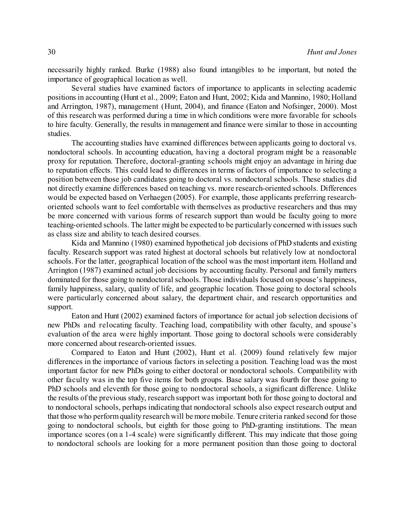necessarily highly ranked. Burke (1988) also found intangibles to be important, but noted the importance of geographical location as well.

Several studies have examined factors of importance to applicants in selecting academic positions in accounting (Hunt et al., 2009; Eaton and Hunt, 2002; Kida and Mannino, 1980; Holland and Arrington, 1987), management (Hunt, 2004), and finance (Eaton and Nofsinger, 2000). Most of this research was performed during a time in which conditions were more favorable for schools to hire faculty. Generally, the results inmanagement and finance were similar to those in accounting studies.

The accounting studies have examined differences between applicants going to doctoral vs. nondoctoral schools. In accounting education, having a doctoral program might be a reasonable proxy for reputation. Therefore, doctoral-granting schools might enjoy an advantage in hiring due to reputation effects. This could lead to differences in terms of factors of importance to selecting a position between those job candidates going to doctoral vs. nondoctoral schools. These studies did not directly examine differences based on teaching vs. more research-oriented schools. Differences would be expected based on Verhaegen (2005). For example, those applicants preferring researchoriented schools want to feel comfortable with themselves as productive researchers and thus may be more concerned with various forms of research support than would be faculty going to more teaching-oriented schools. The latter might be expected to be particularly concerned with issues such as class size and ability to teach desired courses.

Kida and Mannino (1980) examined hypothetical job decisions of PhD students and existing faculty. Research support was rated highest at doctoral schools but relatively low at nondoctoral schools. For the latter, geographical location of the school was the most important item. Holland and Arrington (1987) examined actual job decisions by accounting faculty. Personal and family matters dominated for those going to nondoctoral schools. Those individuals focused on spouse's happiness, family happiness, salary, quality of life, and geographic location. Those going to doctoral schools were particularly concerned about salary, the department chair, and research opportunities and support.

Eaton and Hunt (2002) examined factors of importance for actual job selection decisions of new PhDs and relocating faculty. Teaching load, compatibility with other faculty, and spouse's evaluation of the area were highly important. Those going to doctoral schools were considerably more concerned about research-oriented issues.

Compared to Eaton and Hunt (2002), Hunt et al. (2009) found relatively few major differences in the importance of various factors in selecting a position. Teaching load was the most important factor for new PhDs going to either doctoral or nondoctoral schools. Compatibility with other faculty was in the top five items for both groups. Base salary was fourth for those going to PhD schools and eleventh for those going to nondoctoral schools, a significant difference. Unlike the results of the previous study, research support was important both for those going to doctoral and to nondoctoral schools, perhaps indicating that nondoctoral schools also expect research output and that those who performquality research will be more mobile. Tenure criteria ranked second for those going to nondoctoral schools, but eighth for those going to PhD-granting institutions. The mean importance scores (on a 1-4 scale) were significantly different. This may indicate that those going to nondoctoral schools are looking for a more permanent position than those going to doctoral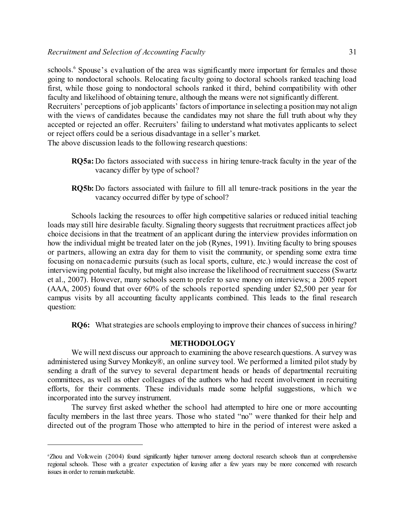schools.<sup>6</sup> Spouse's evaluation of the area was significantly more important for females and those going to nondoctoral schools. Relocating faculty going to doctoral schools ranked teaching load first, while those going to nondoctoral schools ranked it third, behind compatibility with other faculty and likelihood of obtaining tenure, although the means were not significantly different. Recruiters' perceptions of job applicants' factors of importance in selecting a position may not align with the views of candidates because the candidates may not share the full truth about why they accepted or rejected an offer. Recruiters' failing to understand what motivates applicants to select or reject offers could be a serious disadvantage in a seller's market. The above discussion leads to the following research questions:

- **RQ5a:** Do factors associated with success in hiring tenure-track faculty in the year of the vacancy differ by type of school?
- **RQ5b:** Do factors associated with failure to fill all tenure-track positions in the year the vacancy occurred differ by type of school?

Schools lacking the resources to offer high competitive salaries or reduced initial teaching loads may still hire desirable faculty. Signaling theory suggests that recruitment practices affect job choice decisions in that the treatment of an applicant during the interview provides information on how the individual might be treated later on the job (Rynes, 1991). Inviting faculty to bring spouses or partners, allowing an extra day for them to visit the community, or spending some extra time focusing on nonacademic pursuits (such as local sports, culture, etc.) would increase the cost of interviewing potential faculty, but might also increase the likelihood of recruitment success (Swartz et al., 2007). However, many schools seem to prefer to save money on interviews; a 2005 report (AAA, 2005) found that over 60% of the schools reported spending under \$2,500 per year for campus visits by all accounting faculty applicants combined. This leads to the final research question:

**RQ6:** What strategies are schools employing to improve their chances of success in hiring?

## **METHODOLOGY**

We will next discuss our approach to examining the above research questions. A survey was administered using Survey Monkey®, an online survey tool. We performed a limited pilot study by sending a draft of the survey to several department heads or heads of departmental recruiting committees, as well as other colleagues of the authors who had recent involvement in recruiting efforts, for their comments. These individuals made some helpful suggestions, which we incorporated into the survey instrument.

The survey first asked whether the school had attempted to hire one or more accounting faculty members in the last three years. Those who stated "no" were thanked for their help and directed out of the program Those who attempted to hire in the period of interest were asked a

<sup>6</sup>Zhou and Volkwein (2004) found significantly higher turnover among doctoral research schools than at comprehensive regional schools. Those with a greater expectation of leaving after a few years may be more concerned with research issues in order to remain marketable.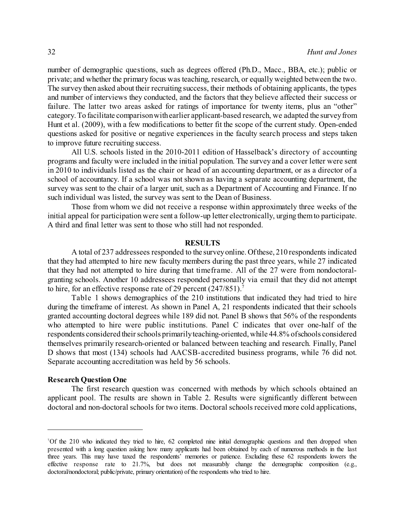number of demographic questions, such as degrees offered (Ph.D., Macc., BBA, etc.); public or private; and whether the primary focus was teaching, research, or equally weighted between the two. The survey then asked about their recruiting success, their methods of obtaining applicants, the types and number of interviews they conducted, and the factors that they believe affected their success or failure. The latter two areas asked for ratings of importance for twenty items, plus an "other" category. To facilitate comparisonwithearlier applicant-based research, we adapted the surveyfrom Hunt et al. (2009), with a few modifications to better fit the scope of the current study. Open-ended questions asked for positive or negative experiences in the faculty search process and steps taken to improve future recruiting success.

All U.S. schools listed in the 2010-2011 edition of Hasselback's directory of accounting programs and faculty were included in the initial population. The survey and a cover letter were sent in 2010 to individuals listed as the chair or head of an accounting department, or as a director of a school of accountancy. If a school was not shown as having a separate accounting department, the survey was sent to the chair of a larger unit, such as a Department of Accounting and Finance. If no such individual was listed, the survey was sent to the Dean of Business.

Those from whom we did not receive a response within approximately three weeks of the initial appeal for participation were sent a follow-up letter electronically, urging themto participate. A third and final letter was sent to those who still had not responded.

#### **RESULTS**

A total of 237 addressees responded to the surveyonline. Ofthese, 210 respondents indicated that they had attempted to hire new faculty members during the past three years, while 27 indicated that they had not attempted to hire during that timeframe. All of the 27 were from nondoctoralgranting schools. Another 10 addressees responded personally via email that they did not attempt to hire, for an effective response rate of 29 percent  $(247/851)$ .

Table 1 shows demographics of the 210 institutions that indicated they had tried to hire during the timeframe of interest. As shown in Panel A, 21 respondents indicated that their schools granted accounting doctoral degrees while 189 did not. Panel B shows that 56% of the respondents who attempted to hire were public institutions. Panel C indicates that over one-half of the respondents considered their schools primarily teaching-oriented, while 44.8% of schools considered themselves primarily research-oriented or balanced between teaching and research. Finally, Panel D shows that most (134) schools had AACSB-accredited business programs, while 76 did not. Separate accounting accreditation was held by 56 schools.

#### **Research Question One**

The first research question was concerned with methods by which schools obtained an applicant pool. The results are shown in Table 2. Results were significantly different between doctoral and non-doctoral schools for two items. Doctoral schools received more cold applications,

<sup>7</sup>Of the 210 who indicated they tried to hire, 62 completed nine initial demographic questions and then dropped when presented with a long question asking how many applicants had been obtained by each of numerous methods in the last three years. This may have taxed the respondents' memories or patience. Excluding these 62 respondents lowers the effective response rate to 21.7%, but does not measurably change the demographic composition (e.g., doctoral/nondoctoral; public/private, primary orientation) of the respondents who tried to hire.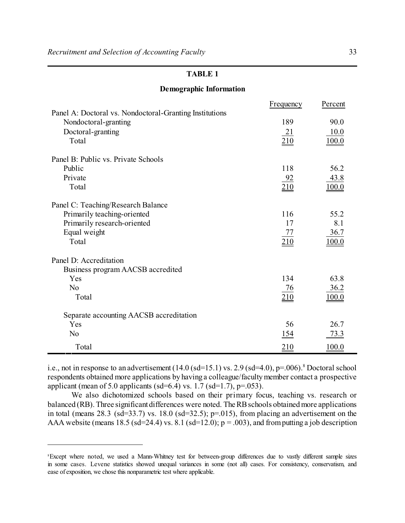# **TABLE 1**

| оснюдгарны ниогнанон                                    |                  |              |
|---------------------------------------------------------|------------------|--------------|
|                                                         | Frequency        | Percent      |
| Panel A: Doctoral vs. Nondoctoral-Granting Institutions |                  |              |
| Nondoctoral-granting                                    | 189              | 90.0         |
| Doctoral-granting                                       | <u>21</u>        | 10.0         |
| Total                                                   | 210              | <u>100.0</u> |
| Panel B: Public vs. Private Schools                     |                  |              |
| Public                                                  | 118              | 56.2         |
| Private                                                 |                  | 43.8         |
| Total                                                   | $\frac{92}{210}$ | 100.0        |
| Panel C: Teaching/Research Balance                      |                  |              |
| Primarily teaching-oriented                             | 116              | 55.2         |
| Primarily research-oriented                             | 17               | 8.1          |
|                                                         |                  |              |
| Equal weight<br>Total                                   | 77               | 36.7         |
|                                                         | 210              | 100.0        |
| Panel D: Accreditation                                  |                  |              |
| Business program AACSB accredited                       |                  |              |
| Yes                                                     | 134              | 63.8         |
| N <sub>o</sub>                                          | <u>76</u>        | 36.2         |
| Total                                                   | 210              | 100.0        |
| Separate accounting AACSB accreditation                 |                  |              |
| Yes                                                     | 56               | 26.7         |
| N <sub>o</sub>                                          | 154              | 73.3         |
| Total                                                   | 210              | 100.0        |

**Demographic Information**

i.e., not in response to an advertisement (14.0 (sd=15.1) vs. 2.9 (sd=4.0), p=.006). <sup>8</sup> Doctoral school respondents obtained more applications by having a colleague/facultymember contact a prospective applicant (mean of 5.0 applicants (sd=6.4) vs. 1.7 (sd=1.7),  $p=.053$ ).

We also dichotomized schools based on their primary focus, teaching vs. research or balanced (RB). Three significant differences were noted. The RB schools obtained more applications in total (means 28.3 (sd=33.7) vs. 18.0 (sd=32.5);  $p=.015$ ), from placing an advertisement on the AAA website (means 18.5 (sd=24.4) vs. 8.1 (sd=12.0);  $p = .003$ ), and from putting a job description

<sup>&</sup>lt;sup>8</sup>Except where noted, we used a Mann-Whitney test for between-group differences due to vastly different sample sizes in some cases. Levene statistics showed unequal variances in some (not all) cases. For consistency, conservatism, and ease of exposition, we chose this nonparametric test where applicable.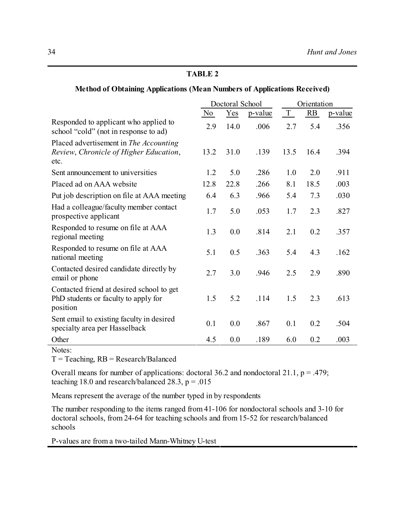# **TABLE 2**

# **Method of Obtaining Applications (Mean Numbers of Applications Received)**

|                                                                                               |      | Doctoral School |         | Orientation |           |         |
|-----------------------------------------------------------------------------------------------|------|-----------------|---------|-------------|-----------|---------|
|                                                                                               | No   | Yes             | p-value | $\mathbf T$ | <b>RB</b> | p-value |
| Responded to applicant who applied to<br>school "cold" (not in response to ad)                | 2.9  | 14.0            | .006    | 2.7         | 5.4       | .356    |
| Placed advertisement in The Accounting<br>Review, Chronicle of Higher Education,<br>etc.      | 13.2 | 31.0            | .139    | 13.5        | 16.4      | .394    |
| Sent announcement to universities                                                             | 1.2  | 5.0             | .286    | 1.0         | 2.0       | .911    |
| Placed ad on AAA website                                                                      | 12.8 | 22.8            | .266    | 8.1         | 18.5      | .003    |
| Put job description on file at AAA meeting                                                    | 6.4  | 6.3             | .966    | 5.4         | 7.3       | .030    |
| Had a colleague/faculty member contact<br>prospective applicant                               | 1.7  | 5.0             | .053    | 1.7         | 2.3       | .827    |
| Responded to resume on file at AAA<br>regional meeting                                        | 1.3  | 0.0             | .814    | 2.1         | 0.2       | .357    |
| Responded to resume on file at AAA<br>national meeting                                        | 5.1  | 0.5             | .363    | 5.4         | 4.3       | .162    |
| Contacted desired candidate directly by<br>email or phone                                     | 2.7  | 3.0             | .946    | 2.5         | 2.9       | .890    |
| Contacted friend at desired school to get<br>PhD students or faculty to apply for<br>position | 1.5  | 5.2             | .114    | 1.5         | 2.3       | .613    |
| Sent email to existing faculty in desired<br>specialty area per Hasselback                    | 0.1  | 0.0             | .867    | 0.1         | 0.2       | .504    |
| Other                                                                                         | 4.5  | 0.0             | .189    | 6.0         | 0.2       | .003    |

Notes:

 $T = Teaching$ ,  $RB = Research/Balanced$ 

Overall means for number of applications: doctoral 36.2 and nondoctoral 21.1,  $p = .479$ ; teaching 18.0 and research/balanced 28.3,  $p = .015$ 

Means represent the average of the number typed in by respondents

The number responding to the items ranged from 41-106 for nondoctoral schools and 3-10 for doctoral schools, from 24-64 for teaching schools and from 15-52 for research/balanced schools

P-values are from a two-tailed Mann-Whitney U-test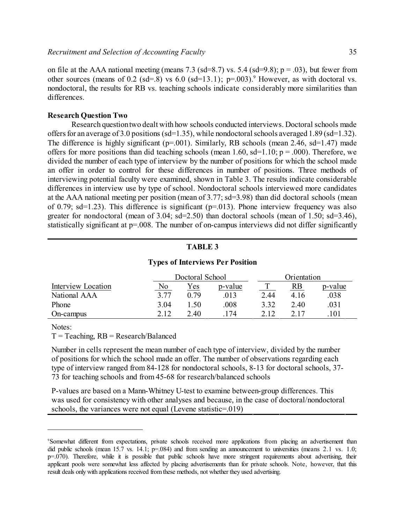#### **Research Question Two**

Research questiontwo dealt with how schools conducted interviews. Doctoral schools made offers for an average of 3.0 positions (sd=1.35), while nondoctoral schools averaged 1.89 (sd=1.32). The difference is highly significant ( $p=0.001$ ). Similarly, RB schools (mean 2.46, sd=1.47) made offers for more positions than did teaching schools (mean 1.60, sd=1.10;  $p = .000$ ). Therefore, we divided the number of each type of interview by the number of positions for which the school made an offer in order to control for these differences in number of positions. Three methods of interviewing potential faculty were examined, shown in Table 3. The results indicate considerable differences in interview use by type of school. Nondoctoral schools interviewed more candidates at the AAA national meeting per position (mean of 3.77; sd=3.98) than did doctoral schools (mean of 0.79; sd=1.23). This difference is significant ( $p=013$ ). Phone interview frequency was also greater for nondoctoral (mean of 3.04; sd=2.50) than doctoral schools (mean of 1.50; sd=3.46), statistically significant at  $p=0.008$ . The number of on-campus interviews did not differ significantly

# **TABLE 3**

## **Types of Interviews Per Position**

|                    | Doctoral School |      |         | Orientation |      |         |
|--------------------|-----------------|------|---------|-------------|------|---------|
| Interview Location | No              | Yes  | p-value | ᅲ           | RB   | p-value |
| National AAA       | 3.77            | በ 79 | 013     | 2.44        | 4.16 | .038    |
| Phone              | 3.04            | .50  | 008     | 3.32        | 2.40 | 031     |
| On-campus          | 212             | 2.40 | 174     | 2.12        |      | .101    |

Notes:

 $T = Teaching$ ,  $RB = Research/Balanced$ 

Number in cells represent the mean number of each type of interview, divided by the number of positions for which the school made an offer. The number of observations regarding each type of interview ranged from 84-128 for nondoctoral schools, 8-13 for doctoral schools, 37- 73 for teaching schools and from 45-68 for research/balanced schools

P-values are based on a Mann-Whitney U-test to examine between-group differences. This was used for consistency with other analyses and because, in the case of doctoral/nondoctoral schools, the variances were not equal (Levene statistic=.019)

<sup>9</sup>Somewhat different from expectations, private schools received more applications from placing an advertisement than did public schools (mean 15.7 vs. 14.1; p=.084) and from sending an announcement to universities (means 2.1 vs. 1.0;  $p=0.070$ ). Therefore, while it is possible that public schools have more stringent requirements about advertising, their applicant pools were somewhat less affected by placing advertisements than for private schools. Note, however, that this result deals only with applications received fromthese methods, not whether they used advertising.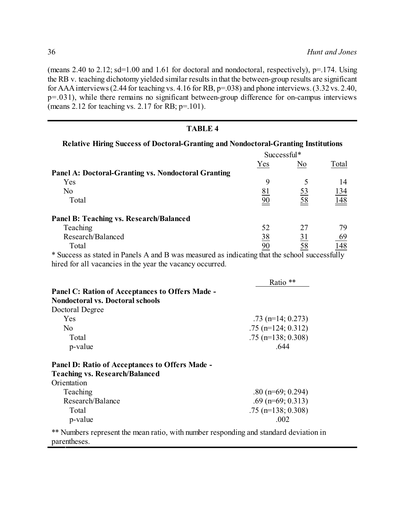(means 2.40 to 2.12; sd=1.00 and 1.61 for doctoral and nondoctoral, respectively), p=.174. Using the RB v. teaching dichotomy yielded similar results in that the between-group results are significant for AAA interviews (2.44 for teaching vs. 4.16 for RB, p=.038) and phone interviews. (3.32 vs. 2.40, p=.031), while there remains no significant between-group difference for on-campus interviews (means  $2.12$  for teaching vs.  $2.17$  for RB; p=.101).

| <b>TABLE 4</b>                                                                                |                                |                 |             |  |  |  |  |
|-----------------------------------------------------------------------------------------------|--------------------------------|-----------------|-------------|--|--|--|--|
| Relative Hiring Success of Doctoral-Granting and Nondoctoral-Granting Institutions            |                                |                 |             |  |  |  |  |
| Successful*                                                                                   |                                |                 |             |  |  |  |  |
|                                                                                               | Yes                            | No              | Total       |  |  |  |  |
| <b>Panel A: Doctoral-Granting vs. Nondoctoral Granting</b>                                    |                                |                 |             |  |  |  |  |
| Yes                                                                                           | 9                              | 5               | 14          |  |  |  |  |
| N <sub>o</sub>                                                                                | $\frac{81}{90}$                | $\frac{53}{58}$ | 134         |  |  |  |  |
| Total                                                                                         |                                |                 | <u> 148</u> |  |  |  |  |
| Panel B: Teaching vs. Research/Balanced                                                       |                                |                 |             |  |  |  |  |
| Teaching                                                                                      | 52                             | 27              | 79          |  |  |  |  |
| Research/Balanced                                                                             | $\frac{38}{5}$                 | 31              | 69          |  |  |  |  |
| Total                                                                                         | 90                             | $\overline{58}$ | 148         |  |  |  |  |
| * Success as stated in Panels A and B was measured as indicating that the school successfully |                                |                 |             |  |  |  |  |
| hired for all vacancies in the year the vacancy occurred.                                     |                                |                 |             |  |  |  |  |
|                                                                                               |                                |                 |             |  |  |  |  |
|                                                                                               | Ratio **                       |                 |             |  |  |  |  |
| Panel C: Ration of Acceptances to Offers Made -<br><b>Nondoctoral vs. Doctoral schools</b>    |                                |                 |             |  |  |  |  |
|                                                                                               |                                |                 |             |  |  |  |  |
| Doctoral Degree<br>Yes                                                                        | .73 ( $n=14$ ; 0.273)          |                 |             |  |  |  |  |
| N <sub>o</sub>                                                                                |                                |                 |             |  |  |  |  |
| Total                                                                                         | $.75$ (n=124; 0.312)           |                 |             |  |  |  |  |
|                                                                                               | .75 ( $n=138$ ; 0.308)<br>.644 |                 |             |  |  |  |  |
| p-value                                                                                       |                                |                 |             |  |  |  |  |
| Panel D: Ratio of Acceptances to Offers Made -                                                |                                |                 |             |  |  |  |  |
| <b>Teaching vs. Research/Balanced</b>                                                         |                                |                 |             |  |  |  |  |
| Orientation                                                                                   |                                |                 |             |  |  |  |  |
| Teaching                                                                                      | $.80$ (n=69; 0.294)            |                 |             |  |  |  |  |
| Research/Balance                                                                              | .69 (n=69; 0.313)              |                 |             |  |  |  |  |
| Total                                                                                         | $.75$ (n=138; 0.308)           |                 |             |  |  |  |  |
| p-value                                                                                       | .002                           |                 |             |  |  |  |  |
| ** Numbers represent the mean ratio, with number responding and standard deviation in         |                                |                 |             |  |  |  |  |

parentheses.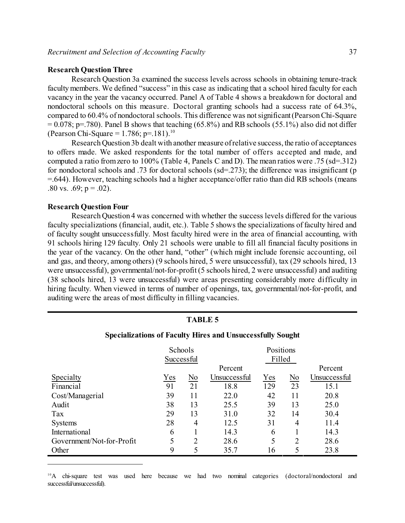## **Research Question Three**

Research Question 3a examined the success levels across schools in obtaining tenure-track facultymembers. We defined "success" in this case as indicating that a school hired faculty for each vacancy in the year the vacancy occurred. Panel A of Table 4 shows a breakdown for doctoral and nondoctoral schools on this measure. Doctoral granting schools had a success rate of 64.3%, compared to 60.4% of nondoctoral schools. This difference was notsignificant(PearsonChi-Square  $= 0.078$ ; p=.780). Panel B shows that teaching (65.8%) and RB schools (55.1%) also did not differ (Pearson Chi-Square = 1.786; p=.181).<sup>10</sup>

Research Question 3b dealt with another measure ofrelative success, the ratio of acceptances to offers made. We asked respondents for the total number of offers accepted and made, and computed a ratio fromzero to 100% (Table 4, Panels C and D). The mean ratios were .75 (sd=.312) for nondoctoral schools and .73 for doctoral schools ( $sd=273$ ); the difference was insignificant (p =.644). However, teaching schools had a higher acceptance/offer ratio than did RB schools (means .80 vs. .69;  $p = .02$ ).

## **Research Question Four**

Research Question 4 was concerned with whether the success levels differed for the various faculty specializations (financial, audit, etc.). Table 5 shows the specializations of faculty hired and of faculty sought unsuccessfully. Most faculty hired were in the area of financial accounting, with 91 schools hiring 129 faculty. Only 21 schools were unable to fill all financial faculty positions in the year of the vacancy. On the other hand, "other" (which might include forensic accounting, oil and gas, and theory, among others) (9 schools hired, 5 were unsuccessful), tax (29 schools hired, 13 were unsuccessful), governmental/not-for-profit (5 schools hired, 2 were unsuccessful) and auditing (38 schools hired, 13 were unsuccessful) were areas presenting considerably more difficulty in hiring faculty. When viewed in terms of number of openings, tax, governmental/not-for-profit, and auditing were the areas of most difficulty in filling vacancies.

# **TABLE 5**

#### **Specializations of Faculty Hires and Unsuccessfully Sought**

|                           |     | Schools<br>Successful | Positions<br>Filled |     |    |              |  |  |
|---------------------------|-----|-----------------------|---------------------|-----|----|--------------|--|--|
|                           |     |                       | Percent             |     |    | Percent      |  |  |
| Specialty                 | Yes | No                    | Unsuccessful        | Yes | No | Unsuccessful |  |  |
| Financial                 | 91  | 21                    | 18.8                | 129 | 23 | 15.1         |  |  |
| Cost/Managerial           | 39  | 11                    | 22.0                | 42  | 11 | 20.8         |  |  |
| Audit                     | 38  | 13                    | 25.5                | 39  | 13 | 25.0         |  |  |
| Tax                       | 29  | 13                    | 31.0                | 32  | 14 | 30.4         |  |  |
| <b>Systems</b>            | 28  | 4                     | 12.5                | 31  | 4  | 11.4         |  |  |
| International             | 6   |                       | 14.3                | 6   |    | 14.3         |  |  |
| Government/Not-for-Profit | 5   | 2                     | 28.6                | 5   | 2  | 28.6         |  |  |
| Other                     | 9   | 5                     | 35.7                | 16  | 5  | 23.8         |  |  |

<sup>10</sup>A chi-square test was used here because we had two nominal categories (doctoral/nondoctoral and successful/unsuccessful).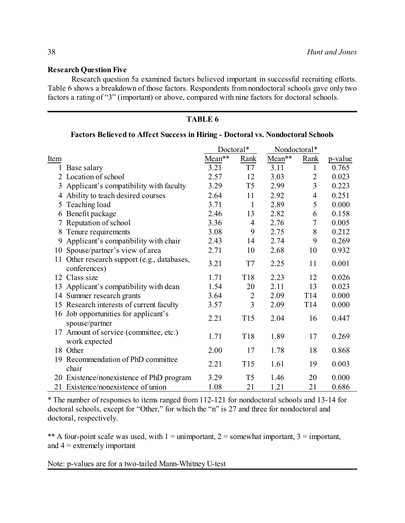## **Research Question Five**

Research question 5a examined factors believed important in successful recruiting efforts. Table 6 shows a breakdown of those factors. Respondents from nondoctoral schools gave only two factors a rating of "3" (important) or above, compared with nine factors for doctoral schools.

## **TABLE 6**

# **Factors Believed to Affect Success in Hiring - Doctoral vs. Nondoctoral Schools**

|      |                                                          | Doctoral* |                 | Nondoctoral* |                 |         |
|------|----------------------------------------------------------|-----------|-----------------|--------------|-----------------|---------|
| Item |                                                          | Mean**    | Rank            | Mean**       | Rank            | p-value |
|      | 1 Base salary                                            | 3.21      | T7              | 3.11         | 1               | 0.765   |
|      | Location of school                                       | 2.57      | 12              | 3.03         | $\overline{2}$  | 0.023   |
| 3    | Applicant's compatibility with faculty                   | 3.29      | T <sub>5</sub>  | 2.99         | 3               | 0.223   |
| 4    | Ability to teach desired courses                         | 2.64      | 11              | 2.92         | $\overline{4}$  | 0.251   |
| 5    | Teaching load                                            | 3.71      | $\mathbf{1}$    | 2.89         | 5               | 0.000   |
| 6    | Benefit package                                          | 2.46      | 13              | 2.82         | 6               | 0.158   |
|      | Reputation of school                                     | 3.36      | 4               | 2.76         | $\tau$          | 0.005   |
| 8    | Tenure requirements                                      | 3.08      | 9               | 2.75         | 8               | 0.212   |
| 9    | Applicant's compatibility with chair                     | 2.43      | 14              | 2.74         | 9               | 0.269   |
| 10   | Spouse/partner's view of area                            | 2.71      | 10              | 2.68         | 10              | 0.932   |
| 11   | Other research support (e.g., databases,<br>conferences) | 3.21      | T7              | 2.25         | 11              | 0.001   |
|      | 12 Class size                                            | 1.71      | T18             | 2.23         | 12              | 0.026   |
| 13   | Applicant's compatibility with dean                      | 1.54      | 20              | 2.11         | 13              | 0.023   |
|      | 14 Summer research grants                                | 3.64      | $\overline{2}$  | 2.09         | T <sub>14</sub> | 0.000   |
| 15   | Research interests of current faculty                    | 3.57      | $\overline{3}$  | 2.09         | T <sub>14</sub> | 0.000   |
|      | 16 Job opportunities for applicant's<br>spouse/partner   | 2.21      | T <sub>15</sub> | 2.04         | 16              | 0.447   |
|      | 17 Amount of service (committee, etc.)<br>work expected  | 1.71      | T18             | 1.89         | 17              | 0.269   |
|      | 18 Other                                                 | 2.00      | 17              | 1.78         | 18              | 0.868   |
| 19   | Recommendation of PhD committee<br>chair                 | 2.21      | T15             | 1.61         | 19              | 0.003   |
|      | 20 Existence/nonexistence of PhD program                 | 3.29      | T <sub>5</sub>  | 1.46         | 20              | 0.000   |
|      | 21 Existence/nonexistence of union                       | 1.08      | 21              | 1.21         | 21              | 0.686   |

\* The number of responses to items ranged from 112-121 for nondoctoral schools and 13-14 for doctoral schools, except for "Other," for which the "n" is 27 and three for nondoctoral and doctoral, respectively.

\*\* A four-point scale was used, with  $1 =$  unimportant,  $2 =$  somewhat important,  $3 =$  important, and  $4 =$  extremely important

Note: p-values are for a two-tailed Mann-Whitney U-test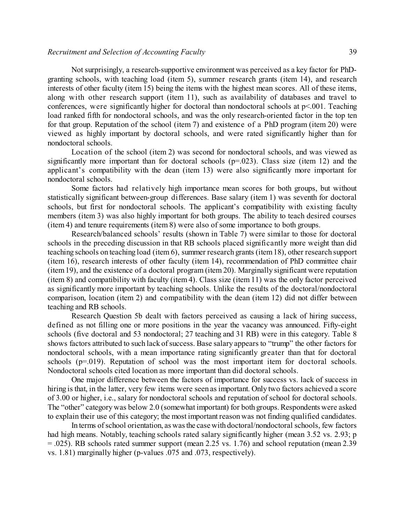# *Recruitment and Selection of Accounting Faculty* 39

Not surprisingly, a research-supportive environment was perceived as a key factor for PhDgranting schools, with teaching load (item 5), summer research grants (item 14), and research interests of other faculty (item 15) being the items with the highest mean scores. All of these items, along with other research support (item 11), such as availability of databases and travel to conferences, were significantly higher for doctoral than nondoctoral schools at p<.001. Teaching load ranked fifth for nondoctoral schools, and was the only research-oriented factor in the top ten for that group. Reputation of the school (item 7) and existence of a PhD program (item 20) were viewed as highly important by doctoral schools, and were rated significantly higher than for nondoctoral schools.

Location of the school (item 2) was second for nondoctoral schools, and was viewed as significantly more important than for doctoral schools ( $p=0.023$ ). Class size (item 12) and the applicant's compatibility with the dean (item 13) were also significantly more important for nondoctoral schools.

Some factors had relatively high importance mean scores for both groups, but without statistically significant between-group differences. Base salary (item 1) was seventh for doctoral schools, but first for nondoctoral schools. The applicant's compatibility with existing faculty members (item 3) was also highly important for both groups. The ability to teach desired courses (item 4) and tenure requirements (item 8) were also of some importance to both groups.

Research/balanced schools' results (shown in Table 7) were similar to those for doctoral schools in the preceding discussion in that RB schools placed significantly more weight than did teaching schools on teaching load (item 6), summer research grants (item18), other research support (item 16), research interests of other faculty (item 14), recommendation of PhD committee chair (item19), and the existence of a doctoral program (item 20). Marginally significant were reputation (item 8) and compatibility with faculty (item 4). Class size (item 11) was the only factor perceived as significantly more important by teaching schools. Unlike the results of the doctoral/nondoctoral comparison, location (item 2) and compatibility with the dean (item 12) did not differ between teaching and RB schools.

Research Question 5b dealt with factors perceived as causing a lack of hiring success, defined as not filling one or more positions in the year the vacancy was announced. Fifty-eight schools (five doctoral and 53 nondoctoral; 27 teaching and 31 RB) were in this category. Table 8 shows factors attributed to such lack of success. Base salary appears to "trump" the other factors for nondoctoral schools, with a mean importance rating significantly greater than that for doctoral schools (p=.019). Reputation of school was the most important item for doctoral schools. Nondoctoral schools cited location as more important than did doctoral schools.

One major difference between the factors of importance for success vs. lack of success in hiring is that, in the latter, very few items were seen as important. Only two factors achieved a score of 3.00 or higher, i.e., salary for nondoctoral schools and reputation of school for doctoral schools. The "other" category was below 2.0 (somewhat important) for both groups. Respondents were asked to explain their use of this category; the most important reason was not finding qualified candidates.

In terms of school orientation, as was the case with doctoral/nondoctoral schools, few factors had high means. Notably, teaching schools rated salary significantly higher (mean 3.52 vs. 2.93; p = .025). RB schools rated summer support (mean 2.25 vs. 1.76) and school reputation (mean 2.39 vs. 1.81) marginally higher (p-values .075 and .073, respectively).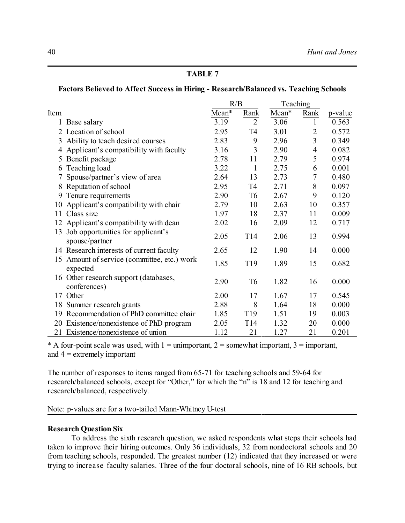# **TABLE 7**

## **Factors Believed to Affect Success in Hiring - Research/Balanced vs. Teaching Schools**

|      |                                                       | R/B   |                 | Teaching |                |         |
|------|-------------------------------------------------------|-------|-----------------|----------|----------------|---------|
| Item |                                                       | Mean* | Rank            | Mean*    | Rank           | p-value |
|      | 1 Base salary                                         | 3.19  | $\overline{2}$  | 3.06     | 1              | 0.563   |
|      | 2 Location of school                                  | 2.95  | T <sub>4</sub>  | 3.01     | $\overline{2}$ | 0.572   |
| 3    | Ability to teach desired courses                      | 2.83  | 9               | 2.96     | 3              | 0.349   |
|      | Applicant's compatibility with faculty                | 3.16  | 3               | 2.90     | 4              | 0.082   |
| 5    | Benefit package                                       | 2.78  | 11              | 2.79     | 5              | 0.974   |
| 6    | Teaching load                                         | 3.22  | 1               | 2.75     | 6              | 0.001   |
|      | Spouse/partner's view of area                         | 2.64  | 13              | 2.73     | 7              | 0.480   |
|      | 8 Reputation of school                                | 2.95  | T <sub>4</sub>  | 2.71     | 8              | 0.097   |
| 9    | Tenure requirements                                   | 2.90  | T <sub>6</sub>  | 2.67     | 9              | 0.120   |
| 10   | Applicant's compatibility with chair                  | 2.79  | 10              | 2.63     | 10             | 0.357   |
| 11   | Class size                                            | 1.97  | 18              | 2.37     | 11             | 0.009   |
| 12   | Applicant's compatibility with dean                   | 2.02  | 16              | 2.09     | 12             | 0.717   |
| 13   | Job opportunities for applicant's<br>spouse/partner   | 2.05  | T14             | 2.06     | 13             | 0.994   |
|      | 14 Research interests of current faculty              | 2.65  | 12              | 1.90     | 14             | 0.000   |
| 15   | Amount of service (committee, etc.) work<br>expected  | 1.85  | T19             | 1.89     | 15             | 0.682   |
|      | 16 Other research support (databases,<br>conferences) | 2.90  | T <sub>6</sub>  | 1.82     | 16             | 0.000   |
| 17   | Other                                                 | 2.00  | 17              | 1.67     | 17             | 0.545   |
| 18   | Summer research grants                                | 2.88  | 8               | 1.64     | 18             | 0.000   |
| 19   | Recommendation of PhD committee chair                 | 1.85  | T19             | 1.51     | 19             | 0.003   |
| 20   | Existence/nonexistence of PhD program                 | 2.05  | T <sub>14</sub> | 1.32     | 20             | 0.000   |
| 21   | Existence/nonexistence of union                       | 1.12  | 21              | 1.27     | 21             | 0.201   |

\* A four-point scale was used, with  $1 =$  unimportant,  $2 =$  somewhat important,  $3 =$  important, and  $4 =$  extremely important

The number of responses to items ranged from 65-71 for teaching schools and 59-64 for research/balanced schools, except for "Other," for which the "n" is 18 and 12 for teaching and research/balanced, respectively.

## Note: p-values are for a two-tailed Mann-Whitney U-test

#### **Research Question Six**

To address the sixth research question, we asked respondents what steps their schools had taken to improve their hiring outcomes. Only 36 individuals, 32 from nondoctoral schools and 20 from teaching schools, responded. The greatest number (12) indicated that they increased or were trying to increase faculty salaries. Three of the four doctoral schools, nine of 16 RB schools, but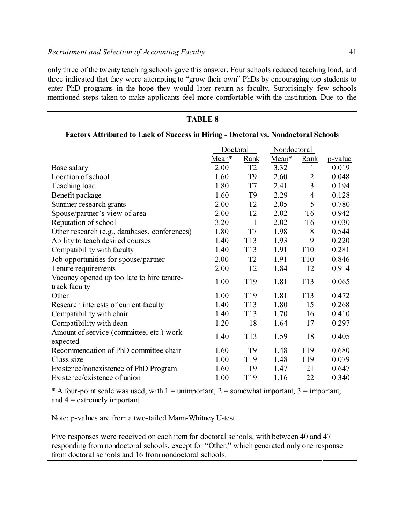only three of the twenty teaching schools gave this answer. Four schools reduced teaching load, and three indicated that they were attempting to "grow their own" PhDs by encouraging top students to enter PhD programs in the hope they would later return as faculty. Surprisingly few schools mentioned steps taken to make applicants feel more comfortable with the institution. Due to the

#### **TABLE 8**

# **Factors Attributed to Lack of Success in Hiring - Doctoral vs. Nondoctoral Schools**

|                                               | Doctoral |                 | Nondoctoral |                 |         |
|-----------------------------------------------|----------|-----------------|-------------|-----------------|---------|
|                                               | Mean*    | Rank            | Mean*       | Rank            | p-value |
| Base salary                                   | 2.00     | T <sub>2</sub>  | 3.32        | 1               | 0.019   |
| Location of school                            | 1.60     | T <sub>9</sub>  | 2.60        | $\overline{2}$  | 0.048   |
| Teaching load                                 | 1.80     | T7              | 2.41        | 3               | 0.194   |
| Benefit package                               | 1.60     | T <sub>9</sub>  | 2.29        | $\overline{4}$  | 0.128   |
| Summer research grants                        | 2.00     | T <sub>2</sub>  | 2.05        | 5               | 0.780   |
| Spouse/partner's view of area                 | 2.00     | T <sub>2</sub>  | 2.02        | T <sub>6</sub>  | 0.942   |
| Reputation of school                          | 3.20     | $\mathbf{1}$    | 2.02        | T <sub>6</sub>  | 0.030   |
| Other research (e.g., databases, conferences) | 1.80     | T7              | 1.98        | 8               | 0.544   |
| Ability to teach desired courses              | 1.40     | T <sub>13</sub> | 1.93        | 9               | 0.220   |
| Compatibility with faculty                    | 1.40     | T13             | 1.91        | T <sub>10</sub> | 0.281   |
| Job opportunities for spouse/partner          | 2.00     | T <sub>2</sub>  | 1.91        | T10             | 0.846   |
| Tenure requirements                           | 2.00     | T <sub>2</sub>  | 1.84        | 12              | 0.914   |
| Vacancy opened up too late to hire tenure-    | 1.00     | T <sub>19</sub> | 1.81        | T <sub>13</sub> | 0.065   |
| track faculty                                 |          |                 |             |                 |         |
| Other                                         | 1.00     | T19             | 1.81        | T13             | 0.472   |
| Research interests of current faculty         | 1.40     | T13             | 1.80        | 15              | 0.268   |
| Compatibility with chair                      | 1.40     | T13             | 1.70        | 16              | 0.410   |
| Compatibility with dean                       | 1.20     | 18              | 1.64        | 17              | 0.297   |
| Amount of service (committee, etc.) work      | 1.40     | T13             | 1.59        | 18              | 0.405   |
| expected                                      |          |                 |             |                 |         |
| Recommendation of PhD committee chair         | 1.60     | T <sub>9</sub>  | 1.48        | T <sub>19</sub> | 0.680   |
| Class size                                    | 1.00     | T <sub>19</sub> | 1.48        | T <sub>19</sub> | 0.079   |
| Existence/nonexistence of PhD Program         | 1.60     | T <sub>9</sub>  | 1.47        | 21              | 0.647   |
| Existence/existence of union                  | 1.00     | T <sub>19</sub> | 1.16        | 22              | 0.340   |

\* A four-point scale was used, with  $1 =$  unimportant,  $2 =$  somewhat important,  $3 =$  important, and  $4 =$  extremely important

Note: p-values are from a two-tailed Mann-Whitney U-test

Five responses were received on each item for doctoral schools, with between 40 and 47 responding from nondoctoral schools, except for "Other," which generated only one response from doctoral schools and 16 from nondoctoral schools.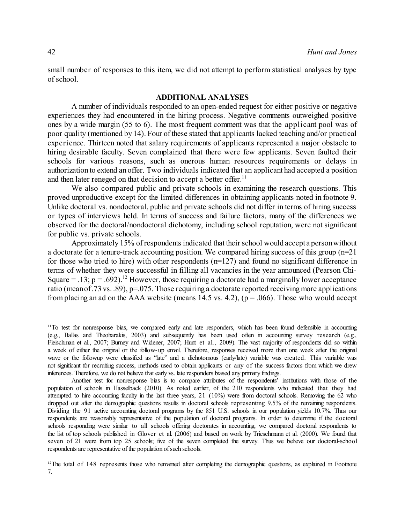small number of responses to this item, we did not attempt to perform statistical analyses by type of school.

## **ADDITIONAL ANALYSES**

A number of individuals responded to an open-ended request for either positive or negative experiences they had encountered in the hiring process. Negative comments outweighed positive ones by a wide margin (55 to 6). The most frequent comment was that the applicant pool was of poor quality (mentioned by 14). Four of these stated that applicants lacked teaching and/or practical experience. Thirteen noted that salary requirements of applicants represented a major obstacle to hiring desirable faculty. Seven complained that there were few applicants. Seven faulted their schools for various reasons, such as onerous human resources requirements or delays in authorization to extend an offer. Two individuals indicated that an applicant had accepted a position and then later reneged on that decision to accept a better offer.<sup>11</sup>

We also compared public and private schools in examining the research questions. This proved unproductive except for the limited differences in obtaining applicants noted in footnote 9. Unlike doctoral vs. nondoctoral, public and private schools did not differ in terms of hiring success or types of interviews held. In terms of success and failure factors, many of the differences we observed for the doctoral/nondoctoral dichotomy, including school reputation, were not significant for public vs. private schools.

Approximately 15% of respondents indicated that their school would accept a personwithout a doctorate for a tenure-track accounting position. We compared hiring success of this group (n=21 for those who tried to hire) with other respondents  $(n=127)$  and found no significant difference in terms of whether they were successful in filling all vacancies in the year announced (Pearson Chi-Square = .13;  $p = .692$ ).<sup>12</sup> However, those requiring a doctorate had a marginally lower acceptance ratio (meanof.73 vs. .89), p=.075. Those requiring a doctorate reported receivingmore applications from placing an ad on the AAA website (means 14.5 vs. 4.2), ( $p = .066$ ). Those who would accept

<sup>&</sup>lt;sup>11</sup>To test for nonresponse bias, we compared early and late responders, which has been found defensible in accounting (e.g., Ballas and Theoharakis, 2003) and subsequently has been used often in accounting survey research (e.g., Fleischman et al., 2007; Burney and Widener, 2007; Hunt et al., 2009). The vast majority of respondents did so within a week of either the original or the follow-up email. Therefore, responses received more than one week after the original wave or the followup were classified as "late" and a dichotomous (early/late) variable was created. This variable was not significant for recruiting success, methods used to obtain applicants or any of the success factors from which we drew inferences. Therefore, we do not believe that early vs. late responders biased any primary findings.

Another test for nonresponse bias is to compare attributes of the respondents' institutions with those of the population of schools in Hasselback (2010). As noted earlier, of the 210 respondents who indicated that they had attempted to hire accounting faculty in the last three years, 21 (10%) were from doctoral schools. Removing the 62 who dropped out after the demographic questions results in doctoral schools representing 9.5% of the remaining respondents. Dividing the 91 active accounting doctoral programs by the 851 U.S. schools in our population yields 10.7%. Thus our respondents are reasonably representative of the population of doctoral programs. In order to determine if the doctoral schools responding were similar to all schools offering doctorates in accounting, we compared doctoral respondents to the list of top schools published in Glover et al. (2006) and based on work by Trieschmann et al. (2000). We found that seven of 21 were from top 25 schools; five of the seven completed the survey. Thus we believe our doctoral-school respondents are representative of the population of such schools.

<sup>&</sup>lt;sup>12</sup>The total of 148 represents those who remained after completing the demographic questions, as explained in Footnote 7.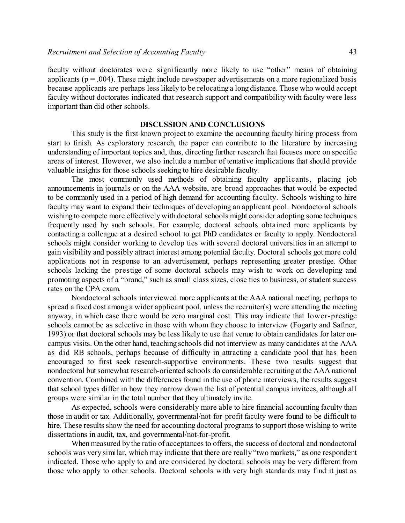faculty without doctorates were significantly more likely to use "other" means of obtaining applicants ( $p = .004$ ). These might include newspaper advertisements on a more regionalized basis because applicants are perhaps less likely to be relocating a long distance. Those who would accept faculty without doctorates indicated that research support and compatibility with faculty were less important than did other schools.

#### **DISCUSSION AND CONCLUSIONS**

This study is the first known project to examine the accounting faculty hiring process from start to finish. As exploratory research, the paper can contribute to the literature by increasing understanding of important topics and, thus, directing further research that focuses more on specific areas of interest. However, we also include a number of tentative implications that should provide valuable insights for those schools seeking to hire desirable faculty.

The most commonly used methods of obtaining faculty applicants, placing job announcements in journals or on the AAA website, are broad approaches that would be expected to be commonly used in a period of high demand for accounting faculty. Schools wishing to hire faculty may want to expand their techniques of developing an applicant pool. Nondoctoral schools wishing to compete more effectively with doctoral schools might consider adopting some techniques frequently used by such schools. For example, doctoral schools obtained more applicants by contacting a colleague at a desired school to get PhD candidates or faculty to apply. Nondoctoral schools might consider working to develop ties with several doctoral universities in an attempt to gain visibility and possibly attract interest among potential faculty. Doctoral schools got more cold applications not in response to an advertisement, perhaps representing greater prestige. Other schools lacking the prestige of some doctoral schools may wish to work on developing and promoting aspects of a "brand," such as small class sizes, close ties to business, or student success rates on the CPA exam.

Nondoctoral schools interviewed more applicants at the AAA national meeting, perhaps to spread a fixed cost among a wider applicant pool, unless the recruiter(s) were attending the meeting anyway, in which case there would be zero marginal cost. This may indicate that lower-prestige schools cannot be as selective in those with whom they choose to interview (Fogarty and Saftner, 1993) or that doctoral schools may be less likely to use that venue to obtain candidates for later oncampus visits. On the other hand, teaching schools did not interview as many candidates at the AAA as did RB schools, perhaps because of difficulty in attracting a candidate pool that has been encouraged to first seek research-supportive environments. These two results suggest that nondoctoral but somewhat research-oriented schools do considerable recruiting at the AAA national convention. Combined with the differences found in the use of phone interviews, the results suggest that school types differ in how they narrow down the list of potential campus invitees, although all groups were similar in the total number that they ultimately invite.

As expected, schools were considerably more able to hire financial accounting faculty than those in audit or tax. Additionally, governmental/not-for-profit faculty were found to be difficult to hire. These results show the need for accounting doctoral programs to support those wishing to write dissertations in audit, tax, and governmental/not-for-profit.

When measured by the ratio of acceptances to offers, the success of doctoral and nondoctoral schools was very similar, which may indicate that there are really "two markets," as one respondent indicated. Those who apply to and are considered by doctoral schools may be very different from those who apply to other schools. Doctoral schools with very high standards may find it just as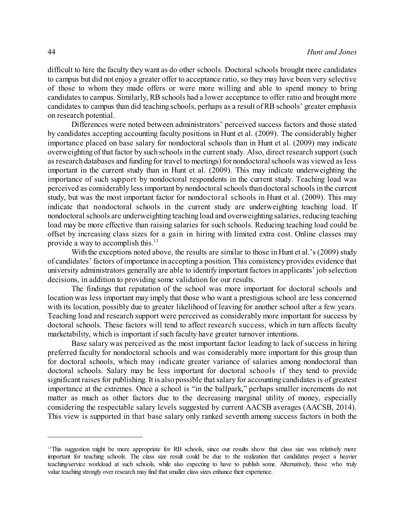difficult to hire the faculty they want as do other schools. Doctoral schools brought more candidates to campus but did not enjoy a greater offer to acceptance ratio, so they may have been very selective of those to whom they made offers or were more willing and able to spend money to bring candidates to campus. Similarly, RB schools had a lower acceptance to offer ratio and brought more candidates to campus than did teaching schools, perhaps as a result of RB schools' greater emphasis on research potential.

Differences were noted between administrators' perceived success factors and those stated by candidates accepting accounting faculty positions in Hunt et al. (2009). The considerably higher importance placed on base salary for nondoctoral schools than in Hunt et al. (2009) may indicate overweighting of that factor by such schools in the current study. Also, direct research support (such as research databases and funding for travel to meetings) for nondoctoralschools was viewed as less important in the current study than in Hunt et al. (2009). This may indicate underweighting the importance of such support by nondoctoral respondents in the current study. Teaching load was perceived as considerably less important by nondoctoral schools than doctoral schools in the current study, but was the most important factor for nondoctoral schools in Hunt et al. (2009). This may indicate that nondoctoral schools in the current study are underweighting teaching load. If nondoctoral schools are underweighting teaching load and overweighting salaries, reducing teaching load may be more effective than raising salaries for such schools. Reducing teaching load could be offset by increasing class sizes for a gain in hiring with limited extra cost. Online classes may provide a way to accomplish this.<sup>13</sup>

With the exceptions noted above, the results are similar to those in Hunt et al.'s (2009) study of candidates' factors ofimportance in accepting a position. This consistency provides evidence that university administrators generally are able to identify important factors in applicants' job selection decisions, in addition to providing some validation for our results.

The findings that reputation of the school was more important for doctoral schools and location was less important may imply that those who want a prestigious school are less concerned with its location, possibly due to greater likelihood of leaving for another school after a few years. Teaching load and research support were perceived as considerably more important for success by doctoral schools. These factors will tend to affect research success, which in turn affects faculty marketability, which is important if such faculty have greater turnover intentions.

Base salary was perceived as the most important factor leading to lack of success in hiring preferred faculty for nondoctoral schools and was considerably more important for this group than for doctoral schools, which may indicate greater variance of salaries among nondoctoral than doctoral schools. Salary may be less important for doctoral schools if they tend to provide significant raises for publishing. It is also possible that salary for accounting candidates is of greatest importance at the extremes. Once a school is "in the ballpark," perhaps smaller increments do not matter as much as other factors due to the decreasing marginal utility of money, especially considering the respectable salary levels suggested by current AACSB averages (AACSB, 2014). This view is supported in that base salary only ranked seventh among success factors in both the

<sup>&</sup>lt;sup>13</sup>This suggestion might be more appropriate for RB schools, since our results show that class size was relatively more important for teaching schools. The class size result could be due to the realization that candidates project a heavier teaching/service workload at such schools, while also expecting to have to publish some. Alternatively, those who truly value teaching strongly over research may find that smaller class sizes enhance their experience.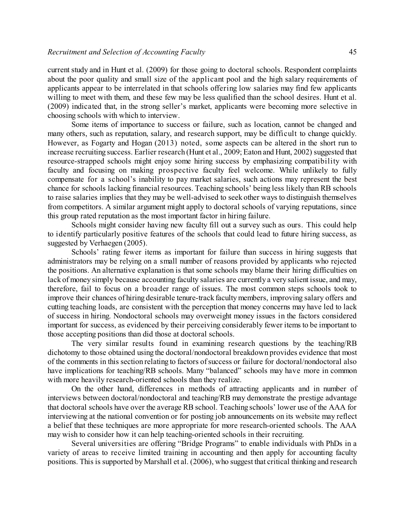current study and in Hunt et al. (2009) for those going to doctoral schools. Respondent complaints about the poor quality and small size of the applicant pool and the high salary requirements of applicants appear to be interrelated in that schools offering low salaries may find few applicants willing to meet with them, and these few may be less qualified than the school desires. Hunt et al. (2009) indicated that, in the strong seller's market, applicants were becoming more selective in choosing schools with which to interview.

Some items of importance to success or failure, such as location, cannot be changed and many others, such as reputation, salary, and research support, may be difficult to change quickly. However, as Fogarty and Hogan (2013) noted, some aspects can be altered in the short run to increase recruiting success. Earlier research (Hunt et al., 2009; Eaton and Hunt, 2002) suggested that resource-strapped schools might enjoy some hiring success by emphasizing compatibility with faculty and focusing on making prospective faculty feel welcome. While unlikely to fully compensate for a school's inability to pay market salaries, such actions may represent the best chance for schools lacking financial resources. Teaching schools' being less likely than RB schools to raise salaries implies that they may be well-advised to seek other ways to distinguish themselves from competitors. A similar argument might apply to doctoral schools of varying reputations, since this group rated reputation as the most important factor in hiring failure.

Schools might consider having new faculty fill out a survey such as ours. This could help to identify particularly positive features of the schools that could lead to future hiring success, as suggested by Verhaegen (2005).

Schools' rating fewer items as important for failure than success in hiring suggests that administrators may be relying on a small number of reasons provided by applicants who rejected the positions. An alternative explanation is that some schools may blame their hiring difficulties on lack of money simply because accounting faculty salaries are currently a very salient issue, and may, therefore, fail to focus on a broader range of issues. The most common steps schools took to improve their chances of hiring desirable tenure-track facultymembers, improving salary offers and cutting teaching loads, are consistent with the perception that money concerns may have led to lack of success in hiring. Nondoctoral schools may overweight money issues in the factors considered important for success, as evidenced by their perceiving considerably fewer items to be important to those accepting positions than did those at doctoral schools.

The very similar results found in examining research questions by the teaching/RB dichotomy to those obtained using the doctoral/nondoctoral breakdown provides evidence that most of the comments in this section relating to factors ofsuccess or failure for doctoral/nondoctoral also have implications for teaching/RB schools. Many "balanced" schools may have more in common with more heavily research-oriented schools than they realize.

On the other hand, differences in methods of attracting applicants and in number of interviews between doctoral/nondoctoral and teaching/RB may demonstrate the prestige advantage that doctoral schools have over the average RB school. Teaching schools' lower use of the AAA for interviewing at the national convention or for posting job announcements on its website may reflect a belief that these techniques are more appropriate for more research-oriented schools. The AAA may wish to consider how it can help teaching-oriented schools in their recruiting.

Several universities are offering "Bridge Programs" to enable individuals with PhDs in a variety of areas to receive limited training in accounting and then apply for accounting faculty positions. This is supported by Marshall et al. (2006), who suggest that critical thinking and research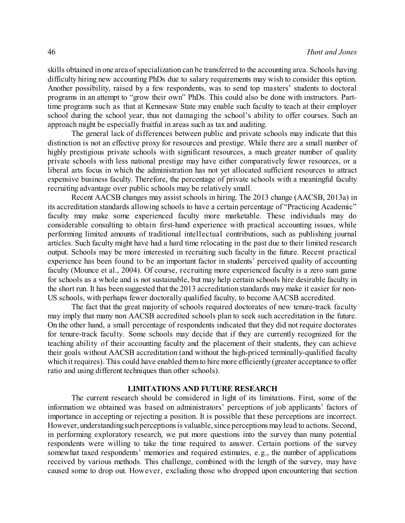skills obtained in one area ofspecialization can be transferred to the accounting area. Schools having difficulty hiring new accounting PhDs due to salary requirements may wish to consider this option. Another possibility, raised by a few respondents, was to send top masters' students to doctoral programs in an attempt to "grow their own" PhDs. This could also be done with instructors. Parttime programs such as that at Kennesaw State may enable such faculty to teach at their employer school during the school year, thus not damaging the school's ability to offer courses. Such an approach might be especially fruitful in areas such as tax and auditing.

The general lack of differences between public and private schools may indicate that this distinction is not an effective proxy for resources and prestige. While there are a small number of highly prestigious private schools with significant resources, a much greater number of quality private schools with less national prestige may have either comparatively fewer resources, or a liberal arts focus in which the administration has not yet allocated sufficient resources to attract expensive business faculty. Therefore, the percentage of private schools with a meaningful faculty recruiting advantage over public schools may be relatively small.

Recent AACSB changes may assist schools in hiring. The 2013 change (AACSB, 2013a) in its accreditation standards allowing schools to have a certain percentage of "Practicing Academic" faculty may make some experienced faculty more marketable. These individuals may do considerable consulting to obtain first-hand experience with practical accounting issues, while performing limited amounts of traditional intellectual contributions, such as publishing journal articles. Such faculty might have had a hard time relocating in the past due to their limited research output. Schools may be more interested in recruiting such faculty in the future. Recent practical experience has been found to be an important factor in students' perceived quality of accounting faculty (Mounce et al., 2004). Of course, recruiting more experienced faculty is a zero sum game for schools as a whole and is not sustainable, but may help certain schools hire desirable faculty in the short run. It has been suggested that the 2013 accreditation standards may make it easier for non-US schools, with perhaps fewer doctorally qualified faculty, to become AACSB accredited.

The fact that the great majority of schools required doctorates of new tenure-track faculty may imply that many non AACSB accredited schools plan to seek such accreditation in the future. On the other hand, a small percentage of respondents indicated that they did not require doctorates for tenure-track faculty. Some schools may decide that if they are currently recognized for the teaching ability of their accounting faculty and the placement of their students, they can achieve their goals without AACSB accreditation (and without the high-priced terminally-qualified faculty which it requires). This could have enabled themto hire more efficiently (greater acceptance to offer ratio and using different techniques than other schools).

## **LIMITATIONS AND FUTURE RESEARCH**

The current research should be considered in light of its limitations. First, some of the information we obtained was based on administrators' perceptions of job applicants' factors of importance in accepting or rejecting a position. It is possible that these perceptions are incorrect. However, understanding such perceptions is valuable, since perceptions may lead to actions. Second, in performing exploratory research, we put more questions into the survey than many potential respondents were willing to take the time required to answer. Certain portions of the survey somewhat taxed respondents' memories and required estimates, e.g., the number of applications received by various methods. This challenge, combined with the length of the survey, may have caused some to drop out. However, excluding those who dropped upon encountering that section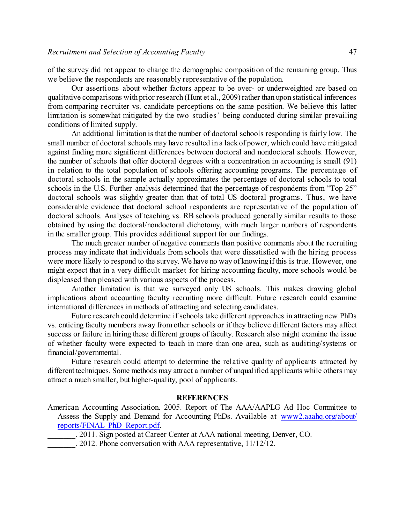of the survey did not appear to change the demographic composition of the remaining group. Thus we believe the respondents are reasonably representative of the population.

Our assertions about whether factors appear to be over- or underweighted are based on qualitative comparisons with prior research (Hunt et al., 2009) rather than upon statistical inferences from comparing recruiter vs. candidate perceptions on the same position. We believe this latter limitation is somewhat mitigated by the two studies' being conducted during similar prevailing conditions of limited supply.

An additional limitation is that the number of doctoral schools responding is fairly low. The small number of doctoral schools may have resulted in a lack of power, which could have mitigated against finding more significant differences between doctoral and nondoctoral schools. However, the number of schools that offer doctoral degrees with a concentration in accounting is small (91) in relation to the total population of schools offering accounting programs. The percentage of doctoral schools in the sample actually approximates the percentage of doctoral schools to total schools in the U.S. Further analysis determined that the percentage of respondents from "Top 25" doctoral schools was slightly greater than that of total US doctoral programs. Thus, we have considerable evidence that doctoral school respondents are representative of the population of doctoral schools. Analyses of teaching vs. RB schools produced generally similar results to those obtained by using the doctoral/nondoctoral dichotomy, with much larger numbers of respondents in the smaller group. This provides additional support for our findings.

The much greater number of negative comments than positive comments about the recruiting process may indicate that individuals from schools that were dissatisfied with the hiring process were more likely to respond to the survey. We have no way of knowing if this is true. However, one might expect that in a very difficult market for hiring accounting faculty, more schools would be displeased than pleased with various aspects of the process.

Another limitation is that we surveyed only US schools. This makes drawing global implications about accounting faculty recruiting more difficult. Future research could examine international differences in methods of attracting and selecting candidates.

Future research could determine if schools take different approaches in attracting new PhDs vs. enticing faculty members away from other schools or if they believe different factors may affect success or failure in hiring these different groups of faculty. Research also might examine the issue of whether faculty were expected to teach in more than one area, such as auditing/systems or financial/governmental.

Future research could attempt to determine the relative quality of applicants attracted by different techniques. Some methods may attract a number of unqualified applicants while others may attract a much smaller, but higher-quality, pool of applicants.

#### **REFERENCES**

American Accounting Association. 2005. Report of The AAA/AAPLG Ad Hoc Committee to Assess the Supply and Demand for Accounting PhDs. Available at [www2.aaahq.org/about/](http://www2.aaahq.org/about/reports/FINAL_PhD_Report.pdf) [reports/FINAL\\_PhD\\_Report.pdf](http://www2.aaahq.org/about/reports/FINAL_PhD_Report.pdf).

\_\_\_\_\_\_\_. 2011. Sign posted at Career Center at AAA national meeting, Denver, CO.

\_\_\_\_\_\_\_. 2012. Phone conversation with AAA representative, 11/12/12.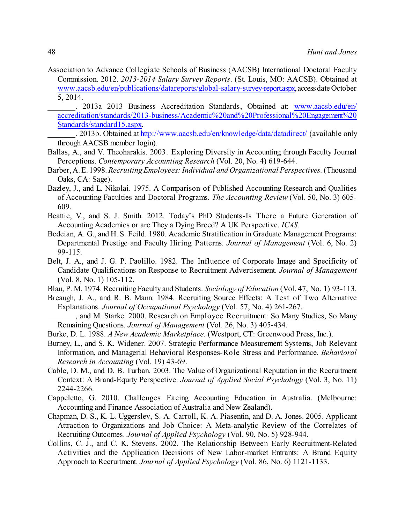- Association to Advance Collegiate Schools of Business (AACSB) International Doctoral Faculty Commission. 2012. *2013-2014 Salary Survey Reports*. (St. Louis, MO: AACSB). Obtained at [www.aacsb.edu/en/publications/datareports/global-salary-survey-report.aspx,](http://www.aacsb.edu/en/publications/datareports/global-salary-survey-report.aspx) access date October 5, 2014.
- \_\_\_\_\_\_\_. 2013a 2013 Business Accreditation Standards, Obtained at: [www.aacsb.edu/en/](http://www.aacsb.edu/en/accreditation/standards/2013-business/Academic%20and%20Professional%20Engagement%20Standards/standard15.aspx) [accreditation/standards/2013-business/Academic%20and%20Professional%20Engagement%20](http://www.aacsb.edu/en/accreditation/standards/2013-business/Academic%20and%20Professional%20Engagement%20Standards/standard15.aspx) [Standards/standard15.aspx](http://www.aacsb.edu/en/accreditation/standards/2013-business/Academic%20and%20Professional%20Engagement%20Standards/standard15.aspx).

. 2013b. Obtained at <http://www.aacsb.edu/en/knowledge/data/datadirect/> (available only through AACSB member login).

- Ballas, A., and V. Theoharakis. 2003. Exploring Diversity in Accounting through Faculty Journal Perceptions. *Contemporary Accounting Research* (Vol. 20, No. 4) 619-644.
- Barber, A. E. 1998. *Recruiting Employees: Individual and Organizational Perspectives.*(Thousand Oaks, CA: Sage).
- Bazley, J., and L. Nikolai. 1975. A Comparison of Published Accounting Research and Qualities of Accounting Faculties and Doctoral Programs. *The Accounting Review* (Vol. 50, No. 3) 605- 609.
- Beattie, V., and S. J. Smith. 2012. Today's PhD Students-Is There a Future Generation of Accounting Academics or are They a Dying Breed? A UK Perspective. *ICAS.*
- Bedeian, A. G., and H. S. Feild. 1980. Academic Stratification in Graduate Management Programs: Departmental Prestige and Faculty Hiring Patterns. *Journal of Management* (Vol. 6, No. 2) 99-115.
- Belt, J. A., and J. G. P. Paolillo. 1982. The Influence of Corporate Image and Specificity of Candidate Qualifications on Response to Recruitment Advertisement. *Journal of Management* (Vol. 8, No. 1) 105-112.
- Blau, P. M. 1974. Recruiting Faculty and Students. *Sociology of Education* (Vol. 47, No. 1) 93-113.
- Breaugh, J. A., and R. B. Mann. 1984. Recruiting Source Effects: A Test of Two Alternative Explanations. *Journal of Occupational Psychology* (Vol. 57, No. 4) 261-267.
- \_\_\_\_\_\_\_, and M. Starke. 2000. Research on Employee Recruitment: So Many Studies, So Many Remaining Questions. *Journal of Management* (Vol. 26, No. 3) 405-434.
- Burke, D. L. 1988. *A New Academic Marketplace.* (Westport, CT: Greenwood Press, Inc.).
- Burney, L., and S. K. Widener. 2007. Strategic Performance Measurement Systems, Job Relevant Information, and Managerial Behavioral Responses-Role Stress and Performance. *Behavioral Research in Accounting* (Vol. 19) 43-69.
- Cable, D. M., and D. B. Turban. 2003. The Value of Organizational Reputation in the Recruitment Context: A Brand-Equity Perspective. *Journal of Applied Social Psychology* (Vol. 3, No. 11) 2244-2266.
- Cappeletto, G. 2010. Challenges Facing Accounting Education in Australia. (Melbourne: Accounting and Finance Association of Australia and New Zealand).
- Chapman, D. S., K. L. Uggerslev, S. A. Carroll, K. A. Piasentin, and D. A. Jones. 2005. Applicant Attraction to Organizations and Job Choice: A Meta-analytic Review of the Correlates of Recruiting Outcomes. *Journal of Applied Psychology* (Vol. 90, No. 5) 928-944.
- Collins, C. J., and C. K. Stevens. 2002. The Relationship Between Early Recruitment-Related Activities and the Application Decisions of New Labor-market Entrants: A Brand Equity Approach to Recruitment. *Journal of Applied Psychology* (Vol. 86, No. 6) 1121-1133.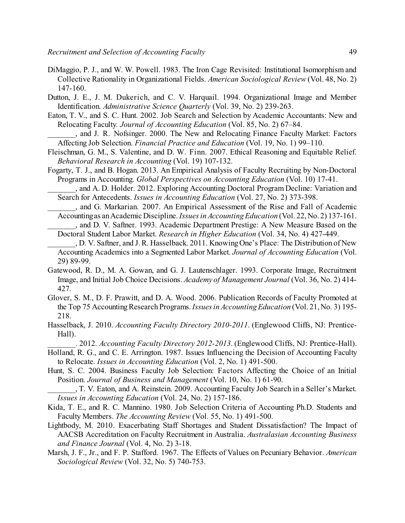- DiMaggio, P. J., and W. W. Powell. 1983. The Iron Cage Revisited: Institutional Isomorphism and Collective Rationality in Organizational Fields. *American Sociological Review* (Vol. 48, No. 2) 147-160.
- Dutton, J. E., J. M. Dukerich, and C. V. Harquail. 1994. Organizational Image and Member Identification. *Administrative Science Quarterly* (Vol. 39, No. 2) 239-263.
- Eaton, T. V., and S. C. Hunt. 2002. Job Search and Selection by Academic Accountants: New and Relocating Faculty*. Journal of Accounting Education* (Vol. 85, No. 2) 67–84.
	- \_\_\_\_\_\_\_, and J. R. Nofsinger. 2000. The New and Relocating Finance Faculty Market: Factors Affecting Job Selection. *Financial Practice and Education* (Vol. 19, No. 1) 99–110.
- Fleischman, G. M., S. Valentine, and D. W. Finn. 2007. Ethical Reasoning and Equitable Relief. *Behavioral Research in Accounting* (Vol. 19) 107-132.
- Fogarty, T. J., and B. Hogan. 2013. An Empirical Analysis of Faculty Recruiting by Non-Doctoral Programs in Accounting. *Global Perspectives on Accounting Education* (Vol. 10) 17-41.
	- \_\_\_\_\_\_\_, and A. D. Holder. 2012. Exploring Accounting Doctoral Program Decline: Variation and Search for Antecedents. *Issues in Accounting Education* (Vol. 27, No. 2) 373-398.
	- \_\_\_\_\_\_\_, and G. Markarian. 2007. An Empirical Assessment of the Rise and Fall of Academic Accountingas anAcademic Discipline. *IssuesinAccounting Education* (Vol. 22, No. 2) 137-161.
	- \_\_\_\_\_\_\_, and D. V. Saftner. 1993. Academic Department Prestige: A New Measure Based on the Doctoral Student Labor Market. *Research in Higher Education* (Vol. 34, No. 4) 427-449.
	- \_\_\_\_\_\_\_, D. V. Saftner, and J. R. Hasselback. 2011. Knowing One's Place: The Distribution of New Accounting Academics into a Segmented Labor Market. *Journal of Accounting Education* (Vol. 29) 89-99.
- Gatewood, R. D., M. A. Gowan, and G. J. Lautenschlager. 1993. Corporate Image, Recruitment Image, and Initial Job Choice Decisions. *Academy of Management Journal* (Vol. 36, No. 2) 414- 427.
- Glover, S. M., D. F. Prawitt, and D. A. Wood. 2006. Publication Records of Faculty Promoted at the Top 75 Accounting Research Programs. *Issues in Accounting Education* (Vol. 21, No. 3) 195-218.
- Hasselback, J. 2010. *Accounting Faculty Directory 2010-2011*. (Englewood Cliffs, NJ: Prentice-Hall).
	- \_\_\_\_\_\_\_. 2012. *Accounting Faculty Directory 2012-2013*. (Englewood Cliffs, NJ: Prentice-Hall).
- Holland, R. G., and C. E. Arrington. 1987. Issues Influencing the Decision of Accounting Faculty to Relocate. *Issues in Accounting Education* (Vol. 2, No. 1) 491-500.
- Hunt, S. C. 2004. Business Faculty Job Selection: Factors Affecting the Choice of an Initial Position. *Journal of Business and Management* (Vol. 10, No. 1) 61-90.
- \_\_\_\_\_\_\_, T. V. Eaton, and A. Reinstein. 2009. Accounting Faculty Job Search in a Seller's Market. *Issues in Accounting Education* (Vol. 24, No. 2) 157-186.
- Kida, T. E., and R. C. Mannino. 1980. Job Selection Criteria of Accounting Ph.D. Students and Faculty Members. *The Accounting Review* (Vol. 55, No. 1) 491-500.
- Lightbody, M. 2010. Exacerbating Staff Shortages and Student Dissatisfaction? The Impact of AACSB Accreditation on Faculty Recruitment in Australia. *Australasian Accounting Business and Finance Journal* (Vol. 4, No. 2) 3-18.
- Marsh, J. F., Jr., and F. P. Stafford. 1967. The Effects of Values on Pecuniary Behavior. *American Sociological Review* (Vol. 32, No. 5) 740-753.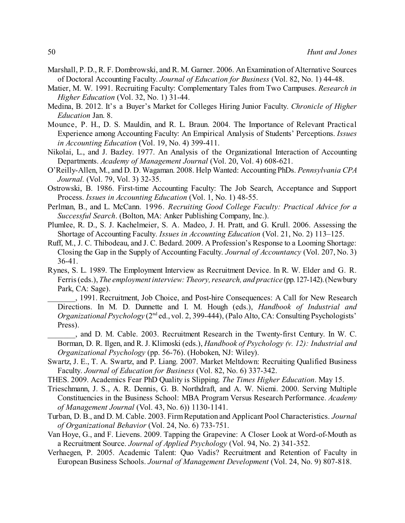- Marshall, P. D., R. F. Dombrowski, and R. M. Garner. 2006. An Examination of Alternative Sources of Doctoral Accounting Faculty. *Journal of Education for Business* (Vol. 82, No. 1) 44-48.
- Matier, M. W. 1991. Recruiting Faculty: Complementary Tales from Two Campuses. *Research in Higher Education* (Vol. 32, No. 1) 31-44.
- Medina, B. 2012. It's a Buyer's Market for Colleges Hiring Junior Faculty. *Chronicle of Higher Education* Jan. 8.
- Mounce, P. H., D. S. Mauldin, and R. L. Braun. 2004. The Importance of Relevant Practical Experience among Accounting Faculty: An Empirical Analysis of Students' Perceptions. *Issues in Accounting Education* (Vol. 19, No. 4) 399-411.
- Nikolai, L., and J. Bazley. 1977. An Analysis of the Organizational Interaction of Accounting Departments. *Academy of Management Journal* (Vol. 20, Vol. 4) 608-621.
- O'Reilly-Allen, M., and D. D. Wagaman. 2008. Help Wanted: Accounting PhDs. *Pennsylvania CPA Journal.* (Vol. 79, Vol. 3) 32-35.
- Ostrowski, B. 1986. First-time Accounting Faculty: The Job Search, Acceptance and Support Process. *Issues in Accounting Education* (Vol. 1, No. 1) 48-55.
- Perlman, B., and L. McCann. 1996. *Recruiting Good College Faculty: Practical Advice for a Successful Search*. (Bolton, MA: Anker Publishing Company, Inc.).
- Plumlee, R. D., S. J. Kachelmeier, S. A. Madeo, J. H. Pratt, and G. Krull. 2006. Assessing the Shortage of Accounting Faculty. *Issues in Accounting Education* (Vol. 21, No. 2) 113–125.
- Ruff, M., J. C. Thibodeau, and J. C. Bedard. 2009. A Profession's Response to a Looming Shortage: Closing the Gap in the Supply of Accounting Faculty. *Journal of Accountancy* (Vol. 207, No. 3) 36-41.
- Rynes, S. L. 1989. The Employment Interview as Recruitment Device. In R. W. Elder and G. R. Ferris (eds.), *The employment interview: Theory, research, and practice* (pp. 127-142). (Newbury Park, CA: Sage).
	- \_\_\_\_\_\_\_, 1991. Recruitment, Job Choice, and Post-hire Consequences: A Call for New Research Directions. In M. D. Dunnette and I. M. Hough (eds.), *Handbook of Industrial and* Organizational Psychology (2<sup>nd</sup> ed., vol. 2, 399-444), (Palo Alto, CA: Consulting Psychologists' Press).

\_\_\_\_\_\_\_, and D. M. Cable. 2003. Recruitment Research in the Twenty-first Century. In W. C. Borman, D. R. Ilgen, and R. J. Klimoski (eds.), *Handbook of Psychology (v. 12): Industrial and Organizational Psychology* (pp. 56-76). (Hoboken, NJ: Wiley).

- Swartz, J. E., T. A. Swartz, and P. Liang. 2007. Market Meltdown: Recruiting Qualified Business Faculty. *Journal of Education for Business* (Vol. 82, No. 6) 337-342.
- THES. 2009. Academics Fear PhD Quality is Slipping*. The Times Higher Education*. May 15.
- Trieschmann, J. S., A. R. Dennis, G. B. Northdraft, and A. W. Niemi. 2000. Serving Multiple Constituencies in the Business School: MBA Program Versus Research Performance. *Academy of Management Journal* (Vol. 43, No. 6)) 1130-1141.
- Turban, D. B., and D. M. Cable. 2003. FirmReputation and Applicant Pool Characteristics. *Journal of Organizational Behavior* (Vol. 24, No. 6) 733-751.
- Van Hoye, G., and F. Lievens. 2009. Tapping the Grapevine: A Closer Look at Word-of-Mouth as a Recruitment Source. *Journal of Applied Psychology* (Vol. 94, No. 2) 341-352.
- Verhaegen, P. 2005. Academic Talent: Quo Vadis? Recruitment and Retention of Faculty in European Business Schools. *Journal of Management Development* (Vol. 24, No. 9) 807-818.